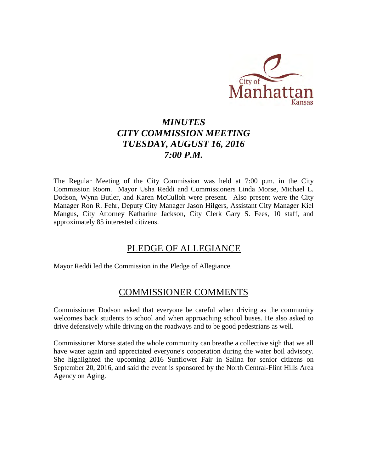

# *MINUTES CITY COMMISSION MEETING TUESDAY, AUGUST 16, 2016 7:00 P.M.*

The Regular Meeting of the City Commission was held at 7:00 p.m. in the City Commission Room. Mayor Usha Reddi and Commissioners Linda Morse, Michael L. Dodson, Wynn Butler, and Karen McCulloh were present. Also present were the City Manager Ron R. Fehr, Deputy City Manager Jason Hilgers, Assistant City Manager Kiel Mangus, City Attorney Katharine Jackson, City Clerk Gary S. Fees, 10 staff, and approximately 85 interested citizens.

# PLEDGE OF ALLEGIANCE

Mayor Reddi led the Commission in the Pledge of Allegiance.

# COMMISSIONER COMMENTS

Commissioner Dodson asked that everyone be careful when driving as the community welcomes back students to school and when approaching school buses. He also asked to drive defensively while driving on the roadways and to be good pedestrians as well.

Commissioner Morse stated the whole community can breathe a collective sigh that we all have water again and appreciated everyone's cooperation during the water boil advisory. She highlighted the upcoming 2016 Sunflower Fair in Salina for senior citizens on September 20, 2016, and said the event is sponsored by the North Central-Flint Hills Area Agency on Aging.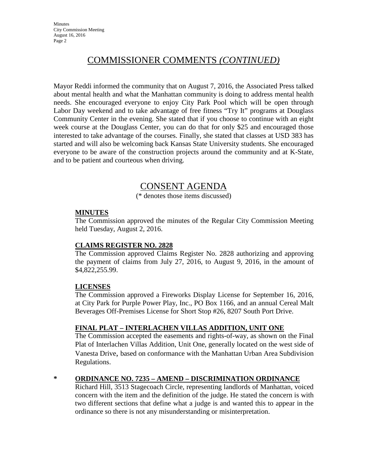# COMMISSIONER COMMENTS *(CONTINUED)*

Mayor Reddi informed the community that on August 7, 2016, the Associated Press talked about mental health and what the Manhattan community is doing to address mental health needs. She encouraged everyone to enjoy City Park Pool which will be open through Labor Day weekend and to take advantage of free fitness "Try It" programs at Douglass Community Center in the evening. She stated that if you choose to continue with an eight week course at the Douglass Center, you can do that for only \$25 and encouraged those interested to take advantage of the courses. Finally, she stated that classes at USD 383 has started and will also be welcoming back Kansas State University students. She encouraged everyone to be aware of the construction projects around the community and at K-State, and to be patient and courteous when driving.

# CONSENT AGENDA

(\* denotes those items discussed)

### **MINUTES**

The Commission approved the minutes of the Regular City Commission Meeting held Tuesday, August 2, 2016.

### **CLAIMS REGISTER NO. 2828**

The Commission approved Claims Register No. 2828 authorizing and approving the payment of claims from July 27, 2016, to August 9, 2016, in the amount of \$4,822,255.99.

### **LICENSES**

The Commission approved a Fireworks Display License for September 16, 2016, at City Park for Purple Power Play, Inc., PO Box 1166, and an annual Cereal Malt Beverages Off-Premises License for Short Stop #26, 8207 South Port Drive.

### **FINAL PLAT – INTERLACHEN VILLAS ADDITION, UNIT ONE**

The Commission accepted the easements and rights-of-way, as shown on the Final Plat of Interlachen Villas Addition, Unit One, generally located on the west side of Vanesta Drive, based on conformance with the Manhattan Urban Area Subdivision Regulations.

### **\* ORDINANCE NO. 7235 – AMEND – DISCRIMINATION ORDINANCE**

Richard Hill, 3513 Stagecoach Circle, representing landlords of Manhattan, voiced concern with the item and the definition of the judge. He stated the concern is with two different sections that define what a judge is and wanted this to appear in the ordinance so there is not any misunderstanding or misinterpretation.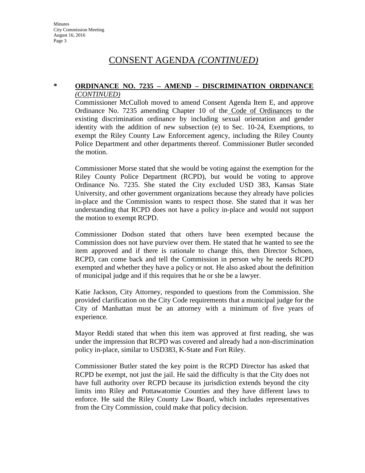#### **\* ORDINANCE NO. 7235 – AMEND – DISCRIMINATION ORDINANCE** *(CONTINUED)*

Commissioner McCulloh moved to amend Consent Agenda Item E, and approve Ordinance No. 7235 amending Chapter 10 of the Code of Ordinances to the existing discrimination ordinance by including sexual orientation and gender identity with the addition of new subsection (e) to Sec. 10-24, Exemptions, to exempt the Riley County Law Enforcement agency, including the Riley County Police Department and other departments thereof. Commissioner Butler seconded the motion.

Commissioner Morse stated that she would be voting against the exemption for the Riley County Police Department (RCPD), but would be voting to approve Ordinance No. 7235. She stated the City excluded USD 383, Kansas State University, and other government organizations because they already have policies in-place and the Commission wants to respect those. She stated that it was her understanding that RCPD does not have a policy in-place and would not support the motion to exempt RCPD.

Commissioner Dodson stated that others have been exempted because the Commission does not have purview over them. He stated that he wanted to see the item approved and if there is rationale to change this, then Director Schoen, RCPD, can come back and tell the Commission in person why he needs RCPD exempted and whether they have a policy or not. He also asked about the definition of municipal judge and if this requires that he or she be a lawyer.

Katie Jackson, City Attorney, responded to questions from the Commission. She provided clarification on the City Code requirements that a municipal judge for the City of Manhattan must be an attorney with a minimum of five years of experience.

Mayor Reddi stated that when this item was approved at first reading, she was under the impression that RCPD was covered and already had a non-discrimination policy in-place, similar to USD383, K-State and Fort Riley.

Commissioner Butler stated the key point is the RCPD Director has asked that RCPD be exempt, not just the jail. He said the difficulty is that the City does not have full authority over RCPD because its jurisdiction extends beyond the city limits into Riley and Pottawatomie Counties and they have different laws to enforce. He said the Riley County Law Board, which includes representatives from the City Commission, could make that policy decision.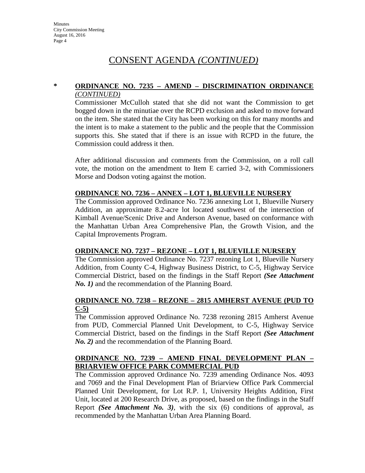#### **\* ORDINANCE NO. 7235 – AMEND – DISCRIMINATION ORDINANCE** *(CONTINUED)*

Commissioner McCulloh stated that she did not want the Commission to get bogged down in the minutiae over the RCPD exclusion and asked to move forward on the item. She stated that the City has been working on this for many months and the intent is to make a statement to the public and the people that the Commission supports this. She stated that if there is an issue with RCPD in the future, the Commission could address it then.

After additional discussion and comments from the Commission, on a roll call vote, the motion on the amendment to Item E carried 3-2, with Commissioners Morse and Dodson voting against the motion.

### **ORDINANCE NO. 7236 – ANNEX – LOT 1, BLUEVILLE NURSERY**

The Commission approved Ordinance No. 7236 annexing Lot 1, Blueville Nursery Addition, an approximate 8.2-acre lot located southwest of the intersection of Kimball Avenue/Scenic Drive and Anderson Avenue, based on conformance with the Manhattan Urban Area Comprehensive Plan, the Growth Vision, and the Capital Improvements Program.

#### **ORDINANCE NO. 7237 – REZONE – LOT 1, BLUEVILLE NURSERY**

The Commission approved Ordinance No. 7237 rezoning Lot 1, Blueville Nursery Addition, from County C-4, Highway Business District, to C-5, Highway Service Commercial District, based on the findings in the Staff Report *(See Attachment No. 1*) and the recommendation of the Planning Board.

### **ORDINANCE NO. 7238 – REZONE – 2815 AMHERST AVENUE (PUD TO C-5)**

The Commission approved Ordinance No. 7238 rezoning 2815 Amherst Avenue from PUD, Commercial Planned Unit Development, to C-5, Highway Service Commercial District, based on the findings in the Staff Report *(See Attachment No. 2)* and the recommendation of the Planning Board.

### **ORDINANCE NO. 7239 – AMEND FINAL DEVELOPMENT PLAN – BRIARVIEW OFFICE PARK COMMERCIAL PUD**

The Commission approved Ordinance No. 7239 amending Ordinance Nos. 4093 and 7069 and the Final Development Plan of Briarview Office Park Commercial Planned Unit Development, for Lot R.P. 1, University Heights Addition, First Unit, located at 200 Research Drive, as proposed, based on the findings in the Staff Report *(See Attachment No. 3)*, with the six (6) conditions of approval, as recommended by the Manhattan Urban Area Planning Board.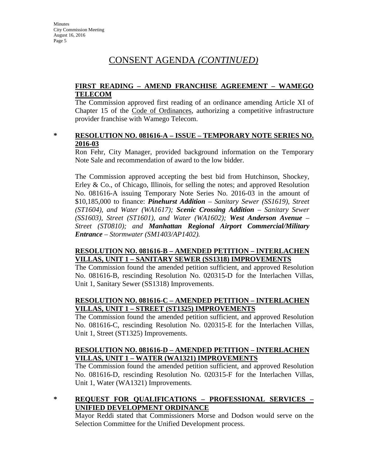### **FIRST READING – AMEND FRANCHISE AGREEMENT – WAMEGO TELECOM**

The Commission approved first reading of an ordinance amending Article XI of Chapter 15 of the Code of Ordinances, authorizing a competitive infrastructure provider franchise with Wamego Telecom.

#### **\* RESOLUTION NO. 081616-A – ISSUE – TEMPORARY NOTE SERIES NO. 2016-03**

Ron Fehr, City Manager, provided background information on the Temporary Note Sale and recommendation of award to the low bidder.

The Commission approved accepting the best bid from Hutchinson, Shockey, Erley & Co., of Chicago, Illinois, for selling the notes; and approved Resolution No. 081616-A issuing Temporary Note Series No. 2016-03 in the amount of \$10,185,000 to finance: *Pinehurst Addition – Sanitary Sewer (SS1619), Street (ST1604), and Water (WA1617); Scenic Crossing Addition – Sanitary Sewer (SS1603), Street (ST1601), and Water (WA1602); West Anderson Avenue – Street (ST0810); and Manhattan Regional Airport Commercial/Military Entrance – Stormwater (SM1403/AP1402).*

### **RESOLUTION NO. 081616-B – AMENDED PETITION – INTERLACHEN VILLAS, UNIT 1 – SANITARY SEWER (SS1318) IMPROVEMENTS**

The Commission found the amended petition sufficient, and approved Resolution No. 081616-B, rescinding Resolution No. 020315-D for the Interlachen Villas, Unit 1, Sanitary Sewer (SS1318) Improvements.

### **RESOLUTION NO. 081616-C – AMENDED PETITION – INTERLACHEN VILLAS, UNIT 1 – STREET (ST1325) IMPROVEMENTS**

The Commission found the amended petition sufficient, and approved Resolution No. 081616-C, rescinding Resolution No. 020315-E for the Interlachen Villas, Unit 1, Street (ST1325) Improvements.

### **RESOLUTION NO. 081616-D – AMENDED PETITION – INTERLACHEN VILLAS, UNIT 1 – WATER (WA1321) IMPROVEMENTS**

The Commission found the amended petition sufficient, and approved Resolution No. 081616-D, rescinding Resolution No. 020315-F for the Interlachen Villas, Unit 1, Water (WA1321) Improvements.

### **\* REQUEST FOR QUALIFICATIONS – PROFESSIONAL SERVICES – UNIFIED DEVELOPMENT ORDINANCE**

Mayor Reddi stated that Commissioners Morse and Dodson would serve on the Selection Committee for the Unified Development process.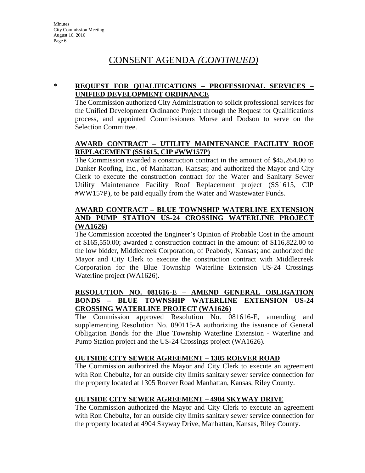### **\* REQUEST FOR QUALIFICATIONS – PROFESSIONAL SERVICES – UNIFIED DEVELOPMENT ORDINANCE**

The Commission authorized City Administration to solicit professional services for the Unified Development Ordinance Project through the Request for Qualifications process, and appointed Commissioners Morse and Dodson to serve on the Selection Committee.

### **AWARD CONTRACT – UTILITY MAINTENANCE FACILITY ROOF REPLACEMENT (SS1615, CIP #WW157P)**

The Commission awarded a construction contract in the amount of \$45,264.00 to Danker Roofing, Inc., of Manhattan, Kansas; and authorized the Mayor and City Clerk to execute the construction contract for the Water and Sanitary Sewer Utility Maintenance Facility Roof Replacement project (SS1615, CIP #WW157P), to be paid equally from the Water and Wastewater Funds.

### **AWARD CONTRACT – BLUE TOWNSHIP WATERLINE EXTENSION AND PUMP STATION US-24 CROSSING WATERLINE PROJECT (WA1626)**

The Commission accepted the Engineer's Opinion of Probable Cost in the amount of \$165,550.00; awarded a construction contract in the amount of \$116,822.00 to the low bidder, Middlecreek Corporation, of Peabody, Kansas; and authorized the Mayor and City Clerk to execute the construction contract with Middlecreek Corporation for the Blue Township Waterline Extension US-24 Crossings Waterline project (WA1626).

#### **RESOLUTION NO. 081616-E – AMEND GENERAL OBLIGATION BONDS – BLUE TOWNSHIP WATERLINE EXTENSION US-24 CROSSING WATERLINE PROJECT (WA1626)**

The Commission approved Resolution No. 081616-E, amending and supplementing Resolution No. 090115-A authorizing the issuance of General Obligation Bonds for the Blue Township Waterline Extension - Waterline and Pump Station project and the US-24 Crossings project (WA1626).

### **OUTSIDE CITY SEWER AGREEMENT – 1305 ROEVER ROAD**

The Commission authorized the Mayor and City Clerk to execute an agreement with Ron Chebultz, for an outside city limits sanitary sewer service connection for the property located at 1305 Roever Road Manhattan, Kansas, Riley County.

### **OUTSIDE CITY SEWER AGREEMENT – 4904 SKYWAY DRIVE**

The Commission authorized the Mayor and City Clerk to execute an agreement with Ron Chebultz, for an outside city limits sanitary sewer service connection for the property located at 4904 Skyway Drive, Manhattan, Kansas, Riley County.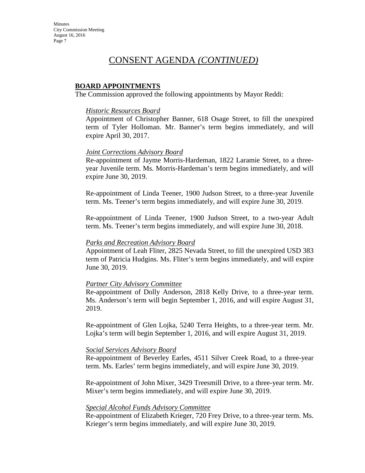## CONSENT AGENDA *(CONTINUED)*

#### **BOARD APPOINTMENTS**

The Commission approved the following appointments by Mayor Reddi:

#### *Historic Resources Board*

Appointment of Christopher Banner, 618 Osage Street, to fill the unexpired term of Tyler Holloman. Mr. Banner's term begins immediately, and will expire April 30, 2017.

#### *Joint Corrections Advisory Board*

Re-appointment of Jayme Morris-Hardeman, 1822 Laramie Street, to a threeyear Juvenile term. Ms. Morris-Hardeman's term begins immediately, and will expire June 30, 2019.

Re-appointment of Linda Teener, 1900 Judson Street, to a three-year Juvenile term. Ms. Teener's term begins immediately, and will expire June 30, 2019.

Re-appointment of Linda Teener, 1900 Judson Street, to a two-year Adult term. Ms. Teener's term begins immediately, and will expire June 30, 2018.

#### *Parks and Recreation Advisory Board*

Appointment of Leah Fliter, 2825 Nevada Street, to fill the unexpired USD 383 term of Patricia Hudgins. Ms. Fliter's term begins immediately, and will expire June 30, 2019.

#### *Partner City Advisory Committee*

Re-appointment of Dolly Anderson, 2818 Kelly Drive, to a three-year term. Ms. Anderson's term will begin September 1, 2016, and will expire August 31, 2019.

Re-appointment of Glen Lojka, 5240 Terra Heights, to a three-year term. Mr. Lojka's term will begin September 1, 2016, and will expire August 31, 2019.

#### *Social Services Advisory Board*

Re-appointment of Beverley Earles, 4511 Silver Creek Road, to a three-year term. Ms. Earles' term begins immediately, and will expire June 30, 2019.

Re-appointment of John Mixer, 3429 Treesmill Drive, to a three-year term. Mr. Mixer's term begins immediately, and will expire June 30, 2019.

#### *Special Alcohol Funds Advisory Committee*

Re-appointment of Elizabeth Krieger, 720 Frey Drive, to a three-year term. Ms. Krieger's term begins immediately, and will expire June 30, 2019.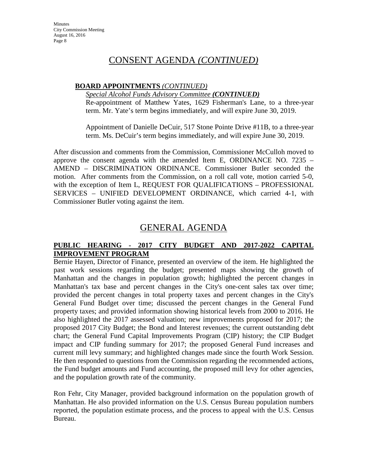### **BOARD APPOINTMENTS** *(CONTINUED)*

*Special Alcohol Funds Advisory Committee (CONTINUED)*

Re-appointment of Matthew Yates, 1629 Fisherman's Lane, to a three-year term. Mr. Yate's term begins immediately, and will expire June 30, 2019.

Appointment of Danielle DeCuir, 517 Stone Pointe Drive #11B, to a three-year term. Ms. DeCuir's term begins immediately, and will expire June 30, 2019.

After discussion and comments from the Commission, Commissioner McCulloh moved to approve the consent agenda with the amended Item E, ORDINANCE NO. 7235 – AMEND – DISCRIMINATION ORDINANCE. Commissioner Butler seconded the motion. After comments from the Commission, on a roll call vote, motion carried 5-0, with the exception of Item L, REQUEST FOR QUALIFICATIONS – PROFESSIONAL SERVICES – UNIFIED DEVELOPMENT ORDINANCE, which carried 4-1, with Commissioner Butler voting against the item.

# GENERAL AGENDA

### **PUBLIC HEARING - 2017 CITY BUDGET AND 2017-2022 CAPITAL IMPROVEMENT PROGRAM**

Bernie Hayen, Director of Finance, presented an overview of the item. He highlighted the past work sessions regarding the budget; presented maps showing the growth of Manhattan and the changes in population growth; highlighted the percent changes in Manhattan's tax base and percent changes in the City's one-cent sales tax over time; provided the percent changes in total property taxes and percent changes in the City's General Fund Budget over time; discussed the percent changes in the General Fund property taxes; and provided information showing historical levels from 2000 to 2016. He also highlighted the 2017 assessed valuation; new improvements proposed for 2017; the proposed 2017 City Budget; the Bond and Interest revenues; the current outstanding debt chart; the General Fund Capital Improvements Program (CIP) history; the CIP Budget impact and CIP funding summary for 2017; the proposed General Fund increases and current mill levy summary; and highlighted changes made since the fourth Work Session. He then responded to questions from the Commission regarding the recommended actions, the Fund budget amounts and Fund accounting, the proposed mill levy for other agencies, and the population growth rate of the community.

Ron Fehr, City Manager, provided background information on the population growth of Manhattan. He also provided information on the U.S. Census Bureau population numbers reported, the population estimate process, and the process to appeal with the U.S. Census Bureau.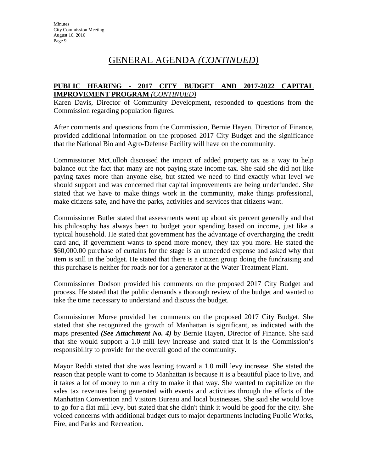# GENERAL AGENDA *(CONTINUED)*

### **PUBLIC HEARING - 2017 CITY BUDGET AND 2017-2022 CAPITAL IMPROVEMENT PROGRAM** *(CONTINUED)*

Karen Davis, Director of Community Development, responded to questions from the Commission regarding population figures.

After comments and questions from the Commission, Bernie Hayen, Director of Finance, provided additional information on the proposed 2017 City Budget and the significance that the National Bio and Agro-Defense Facility will have on the community.

Commissioner McCulloh discussed the impact of added property tax as a way to help balance out the fact that many are not paying state income tax. She said she did not like paying taxes more than anyone else, but stated we need to find exactly what level we should support and was concerned that capital improvements are being underfunded. She stated that we have to make things work in the community, make things professional, make citizens safe, and have the parks, activities and services that citizens want.

Commissioner Butler stated that assessments went up about six percent generally and that his philosophy has always been to budget your spending based on income, just like a typical household. He stated that government has the advantage of overcharging the credit card and, if government wants to spend more money, they tax you more. He stated the \$60,000.00 purchase of curtains for the stage is an unneeded expense and asked why that item is still in the budget. He stated that there is a citizen group doing the fundraising and this purchase is neither for roads nor for a generator at the Water Treatment Plant.

Commissioner Dodson provided his comments on the proposed 2017 City Budget and process. He stated that the public demands a thorough review of the budget and wanted to take the time necessary to understand and discuss the budget.

Commissioner Morse provided her comments on the proposed 2017 City Budget. She stated that she recognized the growth of Manhattan is significant, as indicated with the maps presented *(See Attachment No. 4)* by Bernie Hayen, Director of Finance. She said that she would support a 1.0 mill levy increase and stated that it is the Commission's responsibility to provide for the overall good of the community.

Mayor Reddi stated that she was leaning toward a 1.0 mill levy increase. She stated the reason that people want to come to Manhattan is because it is a beautiful place to live, and it takes a lot of money to run a city to make it that way. She wanted to capitalize on the sales tax revenues being generated with events and activities through the efforts of the Manhattan Convention and Visitors Bureau and local businesses. She said she would love to go for a flat mill levy, but stated that she didn't think it would be good for the city. She voiced concerns with additional budget cuts to major departments including Public Works, Fire, and Parks and Recreation.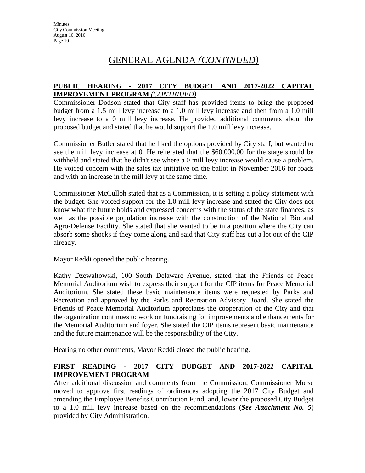# GENERAL AGENDA *(CONTINUED)*

### **PUBLIC HEARING - 2017 CITY BUDGET AND 2017-2022 CAPITAL IMPROVEMENT PROGRAM** *(CONTINUED)*

Commissioner Dodson stated that City staff has provided items to bring the proposed budget from a 1.5 mill levy increase to a 1.0 mill levy increase and then from a 1.0 mill levy increase to a 0 mill levy increase. He provided additional comments about the proposed budget and stated that he would support the 1.0 mill levy increase.

Commissioner Butler stated that he liked the options provided by City staff, but wanted to see the mill levy increase at 0. He reiterated that the \$60,000.00 for the stage should be withheld and stated that he didn't see where a 0 mill levy increase would cause a problem. He voiced concern with the sales tax initiative on the ballot in November 2016 for roads and with an increase in the mill levy at the same time.

Commissioner McCulloh stated that as a Commission, it is setting a policy statement with the budget. She voiced support for the 1.0 mill levy increase and stated the City does not know what the future holds and expressed concerns with the status of the state finances, as well as the possible population increase with the construction of the National Bio and Agro-Defense Facility. She stated that she wanted to be in a position where the City can absorb some shocks if they come along and said that City staff has cut a lot out of the CIP already.

Mayor Reddi opened the public hearing.

Kathy Dzewaltowski, 100 South Delaware Avenue, stated that the Friends of Peace Memorial Auditorium wish to express their support for the CIP items for Peace Memorial Auditorium. She stated these basic maintenance items were requested by Parks and Recreation and approved by the Parks and Recreation Advisory Board. She stated the Friends of Peace Memorial Auditorium appreciates the cooperation of the City and that the organization continues to work on fundraising for improvements and enhancements for the Memorial Auditorium and foyer. She stated the CIP items represent basic maintenance and the future maintenance will be the responsibility of the City.

Hearing no other comments, Mayor Reddi closed the public hearing.

### **FIRST READING - 2017 CITY BUDGET AND 2017-2022 CAPITAL IMPROVEMENT PROGRAM**

After additional discussion and comments from the Commission, Commissioner Morse moved to approve first readings of ordinances adopting the 2017 City Budget and amending the Employee Benefits Contribution Fund; and, lower the proposed City Budget to a 1.0 mill levy increase based on the recommendations (*See Attachment No. 5*) provided by City Administration.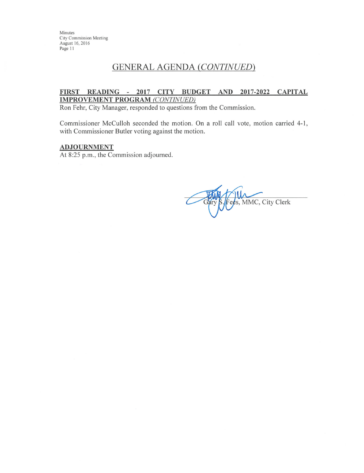## **GENERAL AGENDA (CONTINUED)**

#### FIRST READING - 2017 CITY BUDGET AND 2017-2022 CAPITAL **IMPROVEMENT PROGRAM (CONTINUED)**

Ron Fehr, City Manager, responded to questions from the Commission.

Commissioner McCulloh seconded the motion. On a roll call vote, motion carried 4-1, with Commissioner Butler voting against the motion.

#### **ADJOURNMENT**

At 8:25 p.m., the Commission adjourned.

s, MMC, City Clerk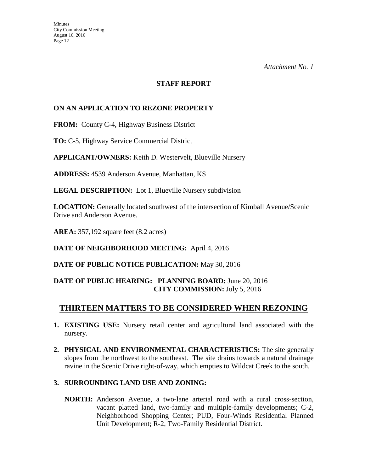#### **STAFF REPORT**

### **ON AN APPLICATION TO REZONE PROPERTY**

**FROM:** County C-4, Highway Business District

**TO:** C-5, Highway Service Commercial District

**APPLICANT/OWNERS:** Keith D. Westervelt, Blueville Nursery

**ADDRESS:** 4539 Anderson Avenue, Manhattan, KS

**LEGAL DESCRIPTION:** Lot 1, Blueville Nursery subdivision

**LOCATION:** Generally located southwest of the intersection of Kimball Avenue/Scenic Drive and Anderson Avenue.

**AREA:** 357,192 square feet (8.2 acres)

**DATE OF NEIGHBORHOOD MEETING:** April 4, 2016

**DATE OF PUBLIC NOTICE PUBLICATION:** May 30, 2016

### **DATE OF PUBLIC HEARING: PLANNING BOARD:** June 20, 2016 **CITY COMMISSION:** July 5, 2016

## **THIRTEEN MATTERS TO BE CONSIDERED WHEN REZONING**

- **1. EXISTING USE:** Nursery retail center and agricultural land associated with the nursery.
- **2. PHYSICAL AND ENVIRONMENTAL CHARACTERISTICS:** The site generally slopes from the northwest to the southeast. The site drains towards a natural drainage ravine in the Scenic Drive right-of-way, which empties to Wildcat Creek to the south.

### **3. SURROUNDING LAND USE AND ZONING:**

**NORTH:** Anderson Avenue, a two-lane arterial road with a rural cross-section, vacant platted land, two-family and multiple-family developments; C-2, Neighborhood Shopping Center; PUD, Four-Winds Residential Planned Unit Development; R-2, Two-Family Residential District.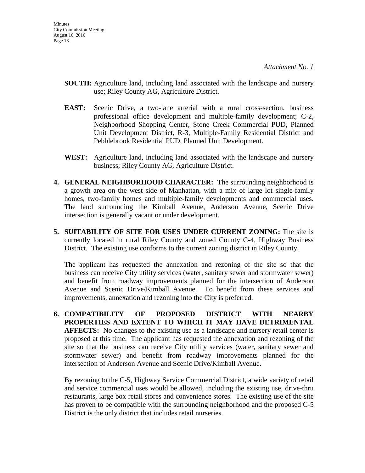- **SOUTH:** Agriculture land, including land associated with the landscape and nursery use; Riley County AG, Agriculture District.
- **EAST:** Scenic Drive, a two-lane arterial with a rural cross-section, business professional office development and multiple-family development; C-2, Neighborhood Shopping Center, Stone Creek Commercial PUD, Planned Unit Development District, R-3, Multiple-Family Residential District and Pebblebrook Residential PUD, Planned Unit Development.
- **WEST:** Agriculture land, including land associated with the landscape and nursery business; Riley County AG, Agriculture District.
- **4. GENERAL NEIGHBORHOOD CHARACTER:** The surrounding neighborhood is a growth area on the west side of Manhattan, with a mix of large lot single-family homes, two-family homes and multiple-family developments and commercial uses. The land surrounding the Kimball Avenue, Anderson Avenue, Scenic Drive intersection is generally vacant or under development.
- **5. SUITABILITY OF SITE FOR USES UNDER CURRENT ZONING:** The site is currently located in rural Riley County and zoned County C-4, Highway Business District. The existing use conforms to the current zoning district in Riley County.

The applicant has requested the annexation and rezoning of the site so that the business can receive City utility services (water, sanitary sewer and stormwater sewer) and benefit from roadway improvements planned for the intersection of Anderson Avenue and Scenic Drive/Kimball Avenue. To benefit from these services and improvements, annexation and rezoning into the City is preferred.

**6. COMPATIBILITY OF PROPOSED DISTRICT WITH NEARBY PROPERTIES AND EXTENT TO WHICH IT MAY HAVE DETRIMENTAL AFFECTS:** No changes to the existing use as a landscape and nursery retail center is proposed at this time. The applicant has requested the annexation and rezoning of the site so that the business can receive City utility services (water, sanitary sewer and stormwater sewer) and benefit from roadway improvements planned for the intersection of Anderson Avenue and Scenic Drive/Kimball Avenue.

By rezoning to the C-5, Highway Service Commercial District, a wide variety of retail and service commercial uses would be allowed, including the existing use, drive-thru restaurants, large box retail stores and convenience stores. The existing use of the site has proven to be compatible with the surrounding neighborhood and the proposed C-5 District is the only district that includes retail nurseries.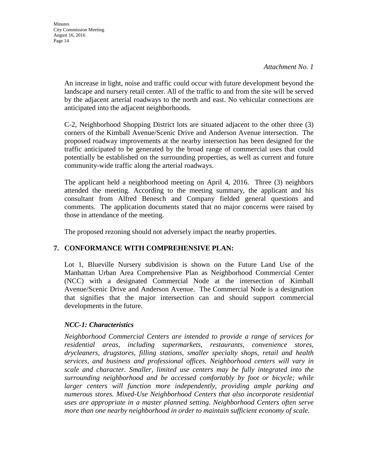An increase in light, noise and traffic could occur with future development beyond the landscape and nursery retail center. All of the traffic to and from the site will be served by the adjacent arterial roadways to the north and east. No vehicular connections are anticipated into the adjacent neighborhoods.

 C-2, Neighborhood Shopping District lots are situated adjacent to the other three (3) corners of the Kimball Avenue/Scenic Drive and Anderson Avenue intersection. The proposed roadway improvements at the nearby intersection has been designed for the traffic anticipated to be generated by the broad range of commercial uses that could potentially be established on the surrounding properties, as well as current and future community-wide traffic along the arterial roadways.

The applicant held a neighborhood meeting on April 4, 2016. Three (3) neighbors attended the meeting. According to the meeting summary, the applicant and his consultant from Alfred Benesch and Company fielded general questions and comments. The application documents stated that no major concerns were raised by those in attendance of the meeting.

The proposed rezoning should not adversely impact the nearby properties.

### **7. CONFORMANCE WITH COMPREHENSIVE PLAN:**

Lot 1, Blueville Nursery subdivision is shown on the Future Land Use of the Manhattan Urban Area Comprehensive Plan as Neighborhood Commercial Center (NCC) with a designated Commercial Node at the intersection of Kimball Avenue/Scenic Drive and Anderson Avenue. The Commercial Node is a designation that signifies that the major intersection can and should support commercial developments in the future.

### *NCC-1: Characteristics*

*Neighborhood Commercial Centers are intended to provide a range of services for residential areas, including supermarkets, restaurants, convenience stores, drycleaners, drugstores, filling stations, smaller specialty shops, retail and health services, and business and professional offices. Neighborhood centers will vary in scale and character. Smaller, limited use centers may be fully integrated into the surrounding neighborhood and be accessed comfortably by foot or bicycle; while larger centers will function more independently, providing ample parking and numerous stores. Mixed-Use Neighborhood Centers that also incorporate residential uses are appropriate in a master planned setting. Neighborhood Centers often serve more than one nearby neighborhood in order to maintain sufficient economy of scale.*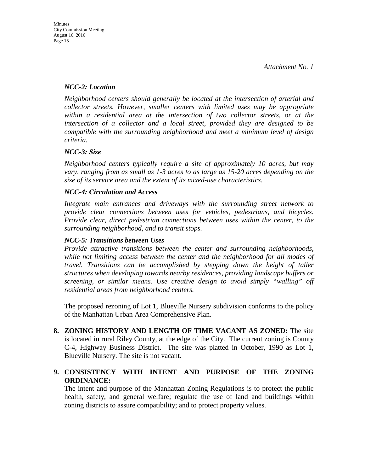### *NCC-2: Location*

*Neighborhood centers should generally be located at the intersection of arterial and collector streets. However, smaller centers with limited uses may be appropriate within a residential area at the intersection of two collector streets, or at the intersection of a collector and a local street, provided they are designed to be compatible with the surrounding neighborhood and meet a minimum level of design criteria.* 

### *NCC-3: Size*

*Neighborhood centers typically require a site of approximately 10 acres, but may vary, ranging from as small as 1-3 acres to as large as 15-20 acres depending on the size of its service area and the extent of its mixed-use characteristics.* 

### *NCC-4: Circulation and Access*

*Integrate main entrances and driveways with the surrounding street network to provide clear connections between uses for vehicles, pedestrians, and bicycles. Provide clear, direct pedestrian connections between uses within the center, to the surrounding neighborhood, and to transit stops.* 

### *NCC-5: Transitions between Uses*

*Provide attractive transitions between the center and surrounding neighborhoods, while not limiting access between the center and the neighborhood for all modes of travel. Transitions can be accomplished by stepping down the height of taller structures when developing towards nearby residences, providing landscape buffers or screening, or similar means. Use creative design to avoid simply "walling" off residential areas from neighborhood centers.*

The proposed rezoning of Lot 1, Blueville Nursery subdivision conforms to the policy of the Manhattan Urban Area Comprehensive Plan.

**8. ZONING HISTORY AND LENGTH OF TIME VACANT AS ZONED:** The site is located in rural Riley County, at the edge of the City. The current zoning is County C-4, Highway Business District. The site was platted in October, 1990 as Lot 1, Blueville Nursery. The site is not vacant.

### **9. CONSISTENCY WITH INTENT AND PURPOSE OF THE ZONING ORDINANCE:**

The intent and purpose of the Manhattan Zoning Regulations is to protect the public health, safety, and general welfare; regulate the use of land and buildings within zoning districts to assure compatibility; and to protect property values.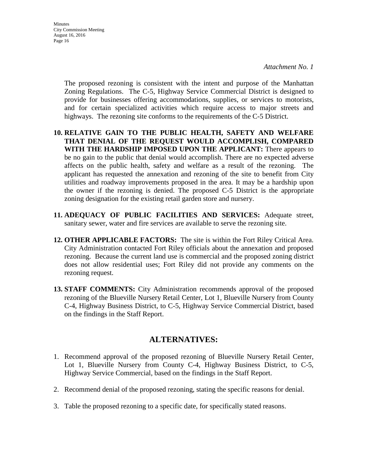The proposed rezoning is consistent with the intent and purpose of the Manhattan Zoning Regulations. The C-5, Highway Service Commercial District is designed to provide for businesses offering accommodations, supplies, or services to motorists, and for certain specialized activities which require access to major streets and highways. The rezoning site conforms to the requirements of the C-5 District.

- **10. RELATIVE GAIN TO THE PUBLIC HEALTH, SAFETY AND WELFARE THAT DENIAL OF THE REQUEST WOULD ACCOMPLISH, COMPARED WITH THE HARDSHIP IMPOSED UPON THE APPLICANT:** There appears to be no gain to the public that denial would accomplish. There are no expected adverse affects on the public health, safety and welfare as a result of the rezoning. The applicant has requested the annexation and rezoning of the site to benefit from City utilities and roadway improvements proposed in the area. It may be a hardship upon the owner if the rezoning is denied. The proposed C-5 District is the appropriate zoning designation for the existing retail garden store and nursery.
- **11. ADEQUACY OF PUBLIC FACILITIES AND SERVICES:** Adequate street, sanitary sewer, water and fire services are available to serve the rezoning site.
- **12. OTHER APPLICABLE FACTORS:** The site is within the Fort Riley Critical Area. City Administration contacted Fort Riley officials about the annexation and proposed rezoning. Because the current land use is commercial and the proposed zoning district does not allow residential uses; Fort Riley did not provide any comments on the rezoning request.
- **13. STAFF COMMENTS:** City Administration recommends approval of the proposed rezoning of the Blueville Nursery Retail Center, Lot 1, Blueville Nursery from County C-4, Highway Business District, to C-5, Highway Service Commercial District, based on the findings in the Staff Report.

## **ALTERNATIVES:**

- 1. Recommend approval of the proposed rezoning of Blueville Nursery Retail Center, Lot 1, Blueville Nursery from County C-4, Highway Business District, to C-5, Highway Service Commercial, based on the findings in the Staff Report.
- 2. Recommend denial of the proposed rezoning, stating the specific reasons for denial.
- 3. Table the proposed rezoning to a specific date, for specifically stated reasons.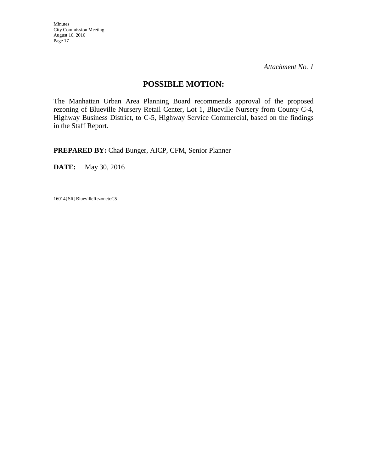*Attachment No. 1* 

### **POSSIBLE MOTION:**

The Manhattan Urban Area Planning Board recommends approval of the proposed rezoning of Blueville Nursery Retail Center, Lot 1, Blueville Nursery from County C-4, Highway Business District, to C-5, Highway Service Commercial, based on the findings in the Staff Report.

**PREPARED BY:** Chad Bunger, AICP, CFM, Senior Planner

**DATE:** May 30, 2016

16014}SR}BluevilleRezonetoC5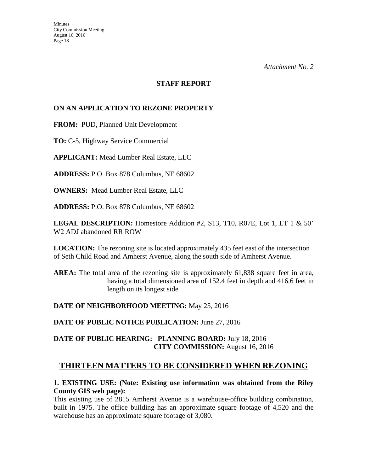#### **STAFF REPORT**

### **ON AN APPLICATION TO REZONE PROPERTY**

**FROM:** PUD, Planned Unit Development

**TO:** C-5, Highway Service Commercial

**APPLICANT:** Mead Lumber Real Estate, LLC

**ADDRESS:** P.O. Box 878 Columbus, NE 68602

**OWNERS:** Mead Lumber Real Estate, LLC

**ADDRESS:** P.O. Box 878 Columbus, NE 68602

**LEGAL DESCRIPTION:** Homestore Addition #2, S13, T10, R07E, Lot 1, LT 1 & 50' W2 ADJ abandoned RR ROW

**LOCATION:** The rezoning site is located approximately 435 feet east of the intersection of Seth Child Road and Amherst Avenue, along the south side of Amherst Avenue.

AREA: The total area of the rezoning site is approximately 61,838 square feet in area, having a total dimensioned area of 152.4 feet in depth and 416.6 feet in length on its longest side

### **DATE OF NEIGHBORHOOD MEETING:** May 25, 2016

**DATE OF PUBLIC NOTICE PUBLICATION:** June 27, 2016

### **DATE OF PUBLIC HEARING: PLANNING BOARD:** July 18, 2016 **CITY COMMISSION:** August 16, 2016

## **THIRTEEN MATTERS TO BE CONSIDERED WHEN REZONING**

### **1. EXISTING USE: (Note: Existing use information was obtained from the Riley County GIS web page):**

This existing use of 2815 Amherst Avenue is a warehouse-office building combination, built in 1975. The office building has an approximate square footage of 4,520 and the warehouse has an approximate square footage of 3,080.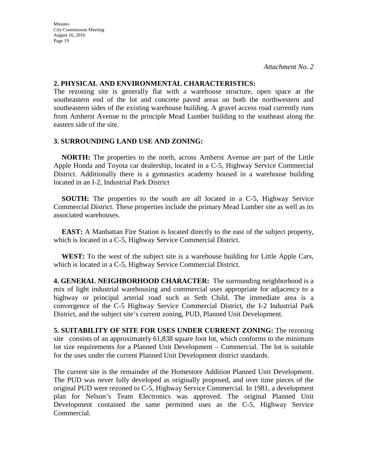#### **2. PHYSICAL AND ENVIRONMENTAL CHARACTERISTICS:**

The rezoning site is generally flat with a warehouse structure, open space at the southeastern end of the lot and concrete paved areas on both the northwestern and southeastern sides of the existing warehouse building. A gravel access road currently runs from Amherst Avenue to the principle Mead Lumber building to the southeast along the eastern side of the site.

### **3. SURROUNDING LAND USE AND ZONING:**

 **NORTH:** The properties to the north, across Amherst Avenue are part of the Little Apple Honda and Toyota car dealership, located in a C-5, Highway Service Commercial District. Additionally there is a gymnastics academy housed in a warehouse building located in an I-2, Industrial Park District

**SOUTH:** The properties to the south are all located in a C-5, Highway Service Commercial District. These properties include the primary Mead Lumber site as well as its associated warehouses.

**EAST:** A Manhattan Fire Station is located directly to the east of the subject property, which is located in a C-5, Highway Service Commercial District.

**WEST:** To the west of the subject site is a warehouse building for Little Apple Cars, which is located in a C-5, Highway Service Commercial District.

**4. GENERAL NEIGHBORHOOD CHARACTER:** The surrounding neighborhood is a mix of light industrial warehousing and commercial uses appropriate for adjacency to a highway or principal arterial road such as Seth Child. The immediate area is a convergence of the C-5 Highway Service Commercial District, the I-2 Industrial Park District, and the subject site's current zoning, PUD, Planned Unit Development.

**5. SUITABILITY OF SITE FOR USES UNDER CURRENT ZONING:** The rezoning site consists of an approximately 61,838 square foot lot, which conforms to the minimum lot size requirements for a Planned Unit Development – Commercial. The lot is suitable for the uses under the current Planned Unit Development district standards.

The current site is the remainder of the Homestore Addition Planned Unit Development. The PUD was never fully developed as originally proposed, and over time pieces of the original PUD were rezoned to C-5, Highway Service Commercial. In 1981, a development plan for Nelson's Team Electronics was approved. The original Planned Unit Development contained the same permitted uses as the C-5, Highway Service Commercial.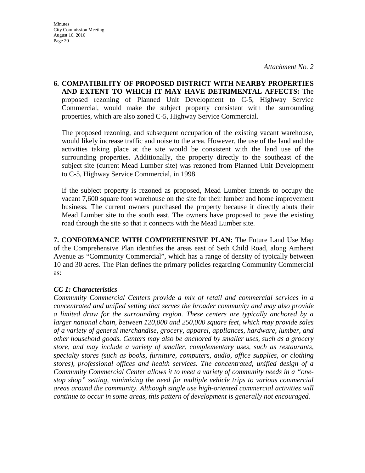**6. COMPATIBILITY OF PROPOSED DISTRICT WITH NEARBY PROPERTIES AND EXTENT TO WHICH IT MAY HAVE DETRIMENTAL AFFECTS:** The proposed rezoning of Planned Unit Development to C-5, Highway Service Commercial, would make the subject property consistent with the surrounding properties, which are also zoned C-5, Highway Service Commercial.

The proposed rezoning, and subsequent occupation of the existing vacant warehouse, would likely increase traffic and noise to the area. However, the use of the land and the activities taking place at the site would be consistent with the land use of the surrounding properties. Additionally, the property directly to the southeast of the subject site (current Mead Lumber site) was rezoned from Planned Unit Development to C-5, Highway Service Commercial, in 1998.

If the subject property is rezoned as proposed, Mead Lumber intends to occupy the vacant 7,600 square foot warehouse on the site for their lumber and home improvement business. The current owners purchased the property because it directly abuts their Mead Lumber site to the south east. The owners have proposed to pave the existing road through the site so that it connects with the Mead Lumber site.

**7. CONFORMANCE WITH COMPREHENSIVE PLAN:** The Future Land Use Map of the Comprehensive Plan identifies the areas east of Seth Child Road, along Amherst Avenue as "Community Commercial", which has a range of density of typically between 10 and 30 acres. The Plan defines the primary policies regarding Community Commercial as:

### *CC 1: Characteristics*

*Community Commercial Centers provide a mix of retail and commercial services in a concentrated and unified setting that serves the broader community and may also provide a limited draw for the surrounding region. These centers are typically anchored by a larger national chain, between 120,000 and 250,000 square feet, which may provide sales of a variety of general merchandise, grocery, apparel, appliances, hardware, lumber, and other household goods. Centers may also be anchored by smaller uses, such as a grocery store, and may include a variety of smaller, complementary uses, such as restaurants, specialty stores (such as books, furniture, computers, audio, office supplies, or clothing stores), professional offices and health services. The concentrated, unified design of a Community Commercial Center allows it to meet a variety of community needs in a "onestop shop" setting, minimizing the need for multiple vehicle trips to various commercial areas around the community. Although single use high-oriented commercial activities will continue to occur in some areas, this pattern of development is generally not encouraged.*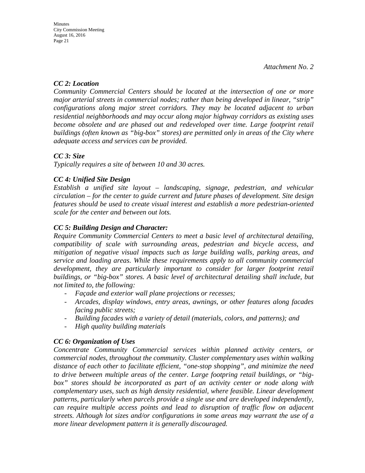### *CC 2: Location*

*Community Commercial Centers should be located at the intersection of one or more major arterial streets in commercial nodes; rather than being developed in linear, "strip" configurations along major street corridors. They may be located adjacent to urban residential neighborhoods and may occur along major highway corridors as existing uses become obsolete and are phased out and redeveloped over time. Large footprint retail buildings (often known as "big-box" stores) are permitted only in areas of the City where adequate access and services can be provided.* 

### *CC 3: Size*

*Typically requires a site of between 10 and 30 acres.* 

### *CC 4: Unified Site Design*

*Establish a unified site layout – landscaping, signage, pedestrian, and vehicular circulation – for the center to guide current and future phases of development. Site design features should be used to create visual interest and establish a more pedestrian-oriented scale for the center and between out lots.* 

### *CC 5: Building Design and Character:*

*Require Community Commercial Centers to meet a basic level of architectural detailing, compatibility of scale with surrounding areas, pedestrian and bicycle access, and mitigation of negative visual impacts such as large building walls, parking areas, and service and loading areas. While these requirements apply to all community commercial*  development, they are particularly important to consider for larger footprint retail *buildings, or "big-box" stores. A basic level of architectural detailing shall include, but not limited to, the following:* 

- *Façade and exterior wall plane projections or recesses;*
- *Arcades, display windows, entry areas, awnings, or other features along facades facing public streets;*
- *Building facades with a variety of detail (materials, colors, and patterns); and*
- *High quality building materials*

### *CC 6: Organization of Uses*

*Concentrate Community Commercial services within planned activity centers, or commercial nodes, throughout the community. Cluster complementary uses within walking distance of each other to facilitate efficient, "one-stop shopping", and minimize the need to drive between multiple areas of the center. Large footpring retail buildings, or "big*box" stores should be incorporated as part of an activity center or node along with *complementary uses, such as high density residential, where feasible. Linear development patterns, particularly when parcels provide a single use and are developed independently, can require multiple access points and lead to disruption of traffic flow on adjacent streets. Although lot sizes and/or configurations in some areas may warrant the use of a more linear development pattern it is generally discouraged.*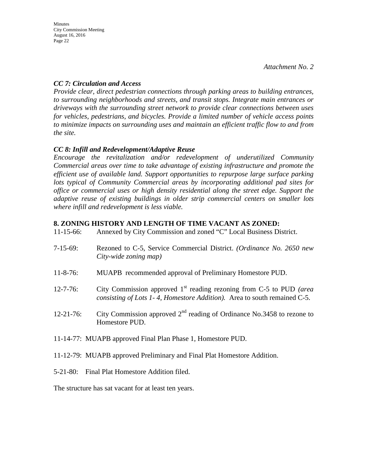### *CC 7: Circulation and Access*

*Provide clear, direct pedestrian connections through parking areas to building entrances, to surrounding neighborhoods and streets, and transit stops. Integrate main entrances or driveways with the surrounding street network to provide clear connections between uses for vehicles, pedestrians, and bicycles. Provide a limited number of vehicle access points to minimize impacts on surrounding uses and maintain an efficient traffic flow to and from the site.*

### *CC 8: Infill and Redevelopment/Adaptive Reuse*

*Encourage the revitalization and/or redevelopment of underutilized Community Commercial areas over time to take advantage of existing infrastructure and promote the efficient use of available land. Support opportunities to repurpose large surface parking lots typical of Community Commercial areas by incorporating additional pad sites for office or commercial uses or high density residential along the street edge. Support the adaptive reuse of existing buildings in older strip commercial centers on smaller lots where infill and redevelopment is less viable.* 

### **8. ZONING HISTORY AND LENGTH OF TIME VACANT AS ZONED:**

| $11 - 15 - 66$ : | Annexed by City Commission and zoned "C" Local Business District. |
|------------------|-------------------------------------------------------------------|
|                  |                                                                   |

- 7-15-69: Rezoned to C-5, Service Commercial District. *(Ordinance No. 2650 new City-wide zoning map)*
- 11-8-76: MUAPB recommended approval of Preliminary Homestore PUD.
- 12-7-76: City Commission approved 1st reading rezoning from C-5 to PUD *(area consisting of Lots 1- 4, Homestore Addition).* Area to south remained C-5.
- 12-21-76: City Commission approved  $2<sup>nd</sup>$  reading of Ordinance No.3458 to rezone to Homestore PUD.
- 11-14-77: MUAPB approved Final Plan Phase 1, Homestore PUD.
- 11-12-79: MUAPB approved Preliminary and Final Plat Homestore Addition.
- 5-21-80: Final Plat Homestore Addition filed.

The structure has sat vacant for at least ten years.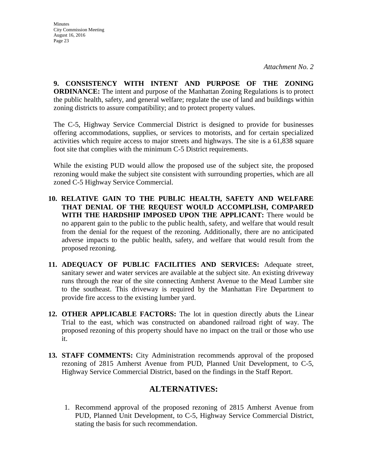**9. CONSISTENCY WITH INTENT AND PURPOSE OF THE ZONING ORDINANCE:** The intent and purpose of the Manhattan Zoning Regulations is to protect the public health, safety, and general welfare; regulate the use of land and buildings within zoning districts to assure compatibility; and to protect property values.

The C-5, Highway Service Commercial District is designed to provide for businesses offering accommodations, supplies, or services to motorists, and for certain specialized activities which require access to major streets and highways. The site is a 61,838 square foot site that complies with the minimum C-5 District requirements.

While the existing PUD would allow the proposed use of the subject site, the proposed rezoning would make the subject site consistent with surrounding properties, which are all zoned C-5 Highway Service Commercial.

- **10. RELATIVE GAIN TO THE PUBLIC HEALTH, SAFETY AND WELFARE THAT DENIAL OF THE REQUEST WOULD ACCOMPLISH, COMPARED WITH THE HARDSHIP IMPOSED UPON THE APPLICANT:** There would be no apparent gain to the public to the public health, safety, and welfare that would result from the denial for the request of the rezoning. Additionally, there are no anticipated adverse impacts to the public health, safety, and welfare that would result from the proposed rezoning.
- **11. ADEQUACY OF PUBLIC FACILITIES AND SERVICES:** Adequate street, sanitary sewer and water services are available at the subject site. An existing driveway runs through the rear of the site connecting Amherst Avenue to the Mead Lumber site to the southeast. This driveway is required by the Manhattan Fire Department to provide fire access to the existing lumber yard.
- **12. OTHER APPLICABLE FACTORS:** The lot in question directly abuts the Linear Trial to the east, which was constructed on abandoned railroad right of way. The proposed rezoning of this property should have no impact on the trail or those who use it.
- **13. STAFF COMMENTS:** City Administration recommends approval of the proposed rezoning of 2815 Amherst Avenue from PUD, Planned Unit Development, to C-5, Highway Service Commercial District, based on the findings in the Staff Report.

## **ALTERNATIVES:**

1. Recommend approval of the proposed rezoning of 2815 Amherst Avenue from PUD, Planned Unit Development, to C-5, Highway Service Commercial District, stating the basis for such recommendation.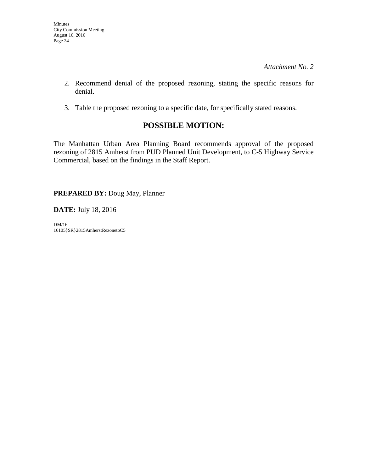- 2. Recommend denial of the proposed rezoning, stating the specific reasons for denial.
- 3. Table the proposed rezoning to a specific date, for specifically stated reasons.

## **POSSIBLE MOTION:**

The Manhattan Urban Area Planning Board recommends approval of the proposed rezoning of 2815 Amherst from PUD Planned Unit Development, to C-5 Highway Service Commercial, based on the findings in the Staff Report.

**PREPARED BY:** Doug May, Planner

**DATE:** July 18, 2016

DM/16 16105}SR}2815AmherstRezonetoC5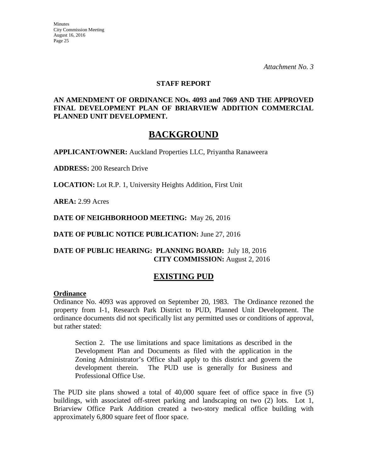*Attachment No. 3* 

#### **STAFF REPORT**

### **AN AMENDMENT OF ORDINANCE NOs. 4093 and 7069 AND THE APPROVED FINAL DEVELOPMENT PLAN OF BRIARVIEW ADDITION COMMERCIAL PLANNED UNIT DEVELOPMENT.**

## **BACKGROUND**

**APPLICANT/OWNER:** Auckland Properties LLC, Priyantha Ranaweera

**ADDRESS:** 200 Research Drive

**LOCATION:** Lot R.P. 1, University Heights Addition, First Unit

**AREA:** 2.99 Acres

**DATE OF NEIGHBORHOOD MEETING:** May 26, 2016

**DATE OF PUBLIC NOTICE PUBLICATION:** June 27, 2016

### **DATE OF PUBLIC HEARING: PLANNING BOARD:** July 18, 2016 **CITY COMMISSION:** August 2, 2016

### **EXISTING PUD**

#### **Ordinance**

Ordinance No. 4093 was approved on September 20, 1983. The Ordinance rezoned the property from I-1, Research Park District to PUD, Planned Unit Development. The ordinance documents did not specifically list any permitted uses or conditions of approval, but rather stated:

Section 2. The use limitations and space limitations as described in the Development Plan and Documents as filed with the application in the Zoning Administrator's Office shall apply to this district and govern the development therein. The PUD use is generally for Business and Professional Office Use.

The PUD site plans showed a total of 40,000 square feet of office space in five (5) buildings, with associated off-street parking and landscaping on two (2) lots. Lot 1, Briarview Office Park Addition created a two-story medical office building with approximately 6,800 square feet of floor space.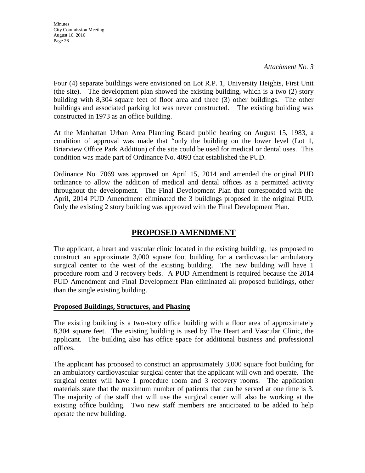*Attachment No. 3* 

Four (4) separate buildings were envisioned on Lot R.P. 1, University Heights, First Unit (the site). The development plan showed the existing building, which is a two (2) story building with 8,304 square feet of floor area and three (3) other buildings. The other buildings and associated parking lot was never constructed. The existing building was constructed in 1973 as an office building.

At the Manhattan Urban Area Planning Board public hearing on August 15, 1983, a condition of approval was made that "only the building on the lower level (Lot 1, Briarview Office Park Addition) of the site could be used for medical or dental uses. This condition was made part of Ordinance No. 4093 that established the PUD.

Ordinance No. 7069 was approved on April 15, 2014 and amended the original PUD ordinance to allow the addition of medical and dental offices as a permitted activity throughout the development. The Final Development Plan that corresponded with the April, 2014 PUD Amendment eliminated the 3 buildings proposed in the original PUD. Only the existing 2 story building was approved with the Final Development Plan.

## **PROPOSED AMENDMENT**

The applicant, a heart and vascular clinic located in the existing building, has proposed to construct an approximate 3,000 square foot building for a cardiovascular ambulatory surgical center to the west of the existing building. The new building will have 1 procedure room and 3 recovery beds. A PUD Amendment is required because the 2014 PUD Amendment and Final Development Plan eliminated all proposed buildings, other than the single existing building.

### **Proposed Buildings, Structures, and Phasing**

The existing building is a two-story office building with a floor area of approximately 8,304 square feet. The existing building is used by The Heart and Vascular Clinic, the applicant. The building also has office space for additional business and professional offices.

The applicant has proposed to construct an approximately 3,000 square foot building for an ambulatory cardiovascular surgical center that the applicant will own and operate. The surgical center will have 1 procedure room and 3 recovery rooms. The application materials state that the maximum number of patients that can be served at one time is 3. The majority of the staff that will use the surgical center will also be working at the existing office building. Two new staff members are anticipated to be added to help operate the new building.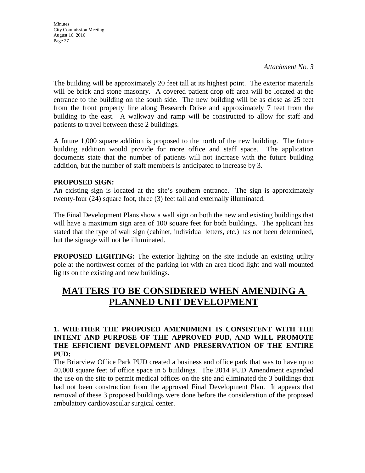The building will be approximately 20 feet tall at its highest point. The exterior materials will be brick and stone masonry. A covered patient drop off area will be located at the entrance to the building on the south side. The new building will be as close as 25 feet from the front property line along Research Drive and approximately 7 feet from the building to the east. A walkway and ramp will be constructed to allow for staff and patients to travel between these 2 buildings.

A future 1,000 square addition is proposed to the north of the new building. The future building addition would provide for more office and staff space. The application documents state that the number of patients will not increase with the future building addition, but the number of staff members is anticipated to increase by 3.

### **PROPOSED SIGN:**

An existing sign is located at the site's southern entrance. The sign is approximately twenty-four (24) square foot, three (3) feet tall and externally illuminated.

The Final Development Plans show a wall sign on both the new and existing buildings that will have a maximum sign area of 100 square feet for both buildings. The applicant has stated that the type of wall sign (cabinet, individual letters, etc.) has not been determined, but the signage will not be illuminated.

**PROPOSED LIGHTING:** The exterior lighting on the site include an existing utility pole at the northwest corner of the parking lot with an area flood light and wall mounted lights on the existing and new buildings.

# **MATTERS TO BE CONSIDERED WHEN AMENDING A PLANNED UNIT DEVELOPMENT**

### **1. WHETHER THE PROPOSED AMENDMENT IS CONSISTENT WITH THE INTENT AND PURPOSE OF THE APPROVED PUD, AND WILL PROMOTE THE EFFICIENT DEVELOPMENT AND PRESERVATION OF THE ENTIRE PUD:**

The Briarview Office Park PUD created a business and office park that was to have up to 40,000 square feet of office space in 5 buildings. The 2014 PUD Amendment expanded the use on the site to permit medical offices on the site and eliminated the 3 buildings that had not been construction from the approved Final Development Plan. It appears that removal of these 3 proposed buildings were done before the consideration of the proposed ambulatory cardiovascular surgical center.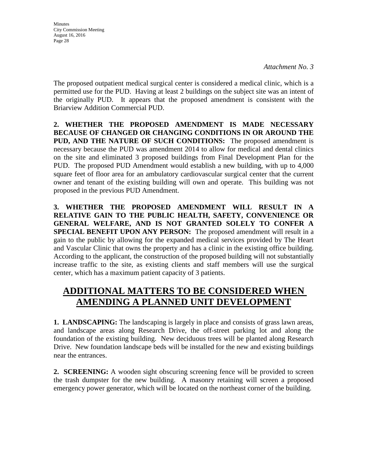*Attachment No. 3* 

The proposed outpatient medical surgical center is considered a medical clinic, which is a permitted use for the PUD. Having at least 2 buildings on the subject site was an intent of the originally PUD. It appears that the proposed amendment is consistent with the Briarview Addition Commercial PUD.

**2. WHETHER THE PROPOSED AMENDMENT IS MADE NECESSARY BECAUSE OF CHANGED OR CHANGING CONDITIONS IN OR AROUND THE PUD, AND THE NATURE OF SUCH CONDITIONS:** The proposed amendment is necessary because the PUD was amendment 2014 to allow for medical and dental clinics on the site and eliminated 3 proposed buildings from Final Development Plan for the PUD. The proposed PUD Amendment would establish a new building, with up to 4,000 square feet of floor area for an ambulatory cardiovascular surgical center that the current owner and tenant of the existing building will own and operate. This building was not proposed in the previous PUD Amendment.

**3. WHETHER THE PROPOSED AMENDMENT WILL RESULT IN A RELATIVE GAIN TO THE PUBLIC HEALTH, SAFETY, CONVENIENCE OR GENERAL WELFARE, AND IS NOT GRANTED SOLELY TO CONFER A SPECIAL BENEFIT UPON ANY PERSON:** The proposed amendment will result in a gain to the public by allowing for the expanded medical services provided by The Heart and Vascular Clinic that owns the property and has a clinic in the existing office building. According to the applicant, the construction of the proposed building will not substantially increase traffic to the site, as existing clients and staff members will use the surgical center, which has a maximum patient capacity of 3 patients.

# **ADDITIONAL MATTERS TO BE CONSIDERED WHEN AMENDING A PLANNED UNIT DEVELOPMENT**

**1. LANDSCAPING:** The landscaping is largely in place and consists of grass lawn areas, and landscape areas along Research Drive, the off-street parking lot and along the foundation of the existing building. New deciduous trees will be planted along Research Drive. New foundation landscape beds will be installed for the new and existing buildings near the entrances.

**2. SCREENING:** A wooden sight obscuring screening fence will be provided to screen the trash dumpster for the new building. A masonry retaining will screen a proposed emergency power generator, which will be located on the northeast corner of the building.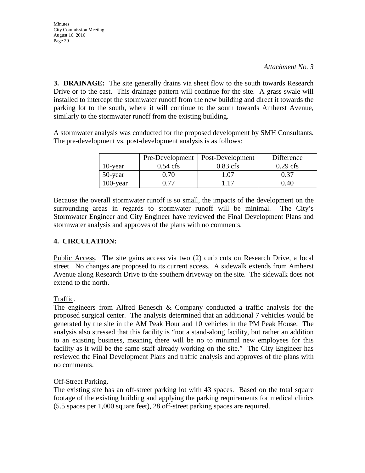**Minutes** City Commission Meeting August 16, 2016 Page 29

**3. DRAINAGE:** The site generally drains via sheet flow to the south towards Research Drive or to the east. This drainage pattern will continue for the site. A grass swale will installed to intercept the stormwater runoff from the new building and direct it towards the parking lot to the south, where it will continue to the south towards Amherst Avenue, similarly to the stormwater runoff from the existing building.

A stormwater analysis was conducted for the proposed development by SMH Consultants. The pre-development vs. post-development analysis is as follows:

|             | Pre-Development    | <b>Post-Development</b> | Difference |
|-------------|--------------------|-------------------------|------------|
| $10$ -year  | $0.54 \text{ cfs}$ | $0.83$ cfs              | $0.29$ cfs |
| 50-year     | 0 70               | ' 07                    | 0.37       |
| $100$ -year |                    |                         | 0.40       |

Because the overall stormwater runoff is so small, the impacts of the development on the surrounding areas in regards to stormwater runoff will be minimal. The City's Stormwater Engineer and City Engineer have reviewed the Final Development Plans and stormwater analysis and approves of the plans with no comments.

### **4. CIRCULATION:**

Public Access. The site gains access via two (2) curb cuts on Research Drive, a local street. No changes are proposed to its current access. A sidewalk extends from Amherst Avenue along Research Drive to the southern driveway on the site. The sidewalk does not extend to the north.

### Traffic.

The engineers from Alfred Benesch & Company conducted a traffic analysis for the proposed surgical center. The analysis determined that an additional 7 vehicles would be generated by the site in the AM Peak Hour and 10 vehicles in the PM Peak House. The analysis also stressed that this facility is "not a stand-along facility, but rather an addition to an existing business, meaning there will be no to minimal new employees for this facility as it will be the same staff already working on the site." The City Engineer has reviewed the Final Development Plans and traffic analysis and approves of the plans with no comments.

### Off-Street Parking.

The existing site has an off-street parking lot with 43 spaces. Based on the total square footage of the existing building and applying the parking requirements for medical clinics (5.5 spaces per 1,000 square feet), 28 off-street parking spaces are required.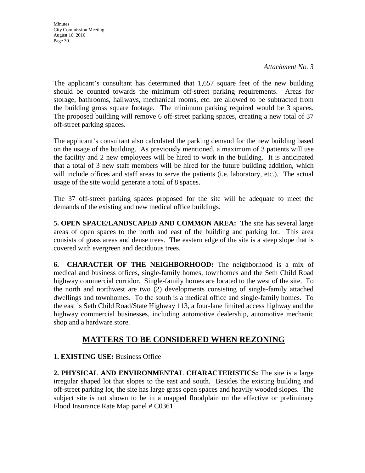*Attachment No. 3* 

The applicant's consultant has determined that 1,657 square feet of the new building should be counted towards the minimum off-street parking requirements. Areas for storage, bathrooms, hallways, mechanical rooms, etc. are allowed to be subtracted from the building gross square footage. The minimum parking required would be 3 spaces. The proposed building will remove 6 off-street parking spaces, creating a new total of 37 off-street parking spaces.

The applicant's consultant also calculated the parking demand for the new building based on the usage of the building. As previously mentioned, a maximum of 3 patients will use the facility and 2 new employees will be hired to work in the building. It is anticipated that a total of 3 new staff members will be hired for the future building addition, which will include offices and staff areas to serve the patients (i.e. laboratory, etc.). The actual usage of the site would generate a total of 8 spaces.

The 37 off-street parking spaces proposed for the site will be adequate to meet the demands of the existing and new medical office buildings.

**5. OPEN SPACE/LANDSCAPED AND COMMON AREA:** The site has several large areas of open spaces to the north and east of the building and parking lot. This area consists of grass areas and dense trees. The eastern edge of the site is a steep slope that is covered with evergreen and deciduous trees.

**6. CHARACTER OF THE NEIGHBORHOOD:** The neighborhood is a mix of medical and business offices, single-family homes, townhomes and the Seth Child Road highway commercial corridor. Single-family homes are located to the west of the site. To the north and northwest are two (2) developments consisting of single-family attached dwellings and townhomes. To the south is a medical office and single-family homes. To the east is Seth Child Road/State Highway 113, a four-lane limited access highway and the highway commercial businesses, including automotive dealership, automotive mechanic shop and a hardware store.

## **MATTERS TO BE CONSIDERED WHEN REZONING**

**1. EXISTING USE:** Business Office

**2. PHYSICAL AND ENVIRONMENTAL CHARACTERISTICS:** The site is a large irregular shaped lot that slopes to the east and south. Besides the existing building and off-street parking lot, the site has large grass open spaces and heavily wooded slopes. The subject site is not shown to be in a mapped floodplain on the effective or preliminary Flood Insurance Rate Map panel # C0361.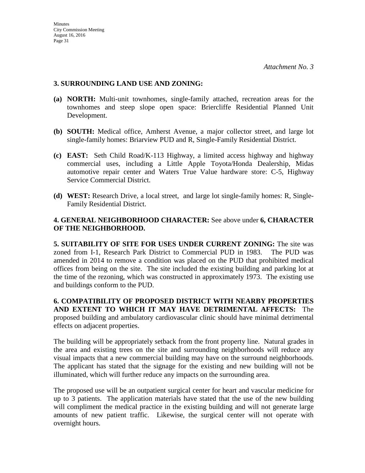### **3. SURROUNDING LAND USE AND ZONING:**

- **(a) NORTH:** Multi-unit townhomes, single-family attached, recreation areas for the townhomes and steep slope open space: Briercliffe Residential Planned Unit Development.
- **(b) SOUTH:** Medical office, Amherst Avenue, a major collector street, and large lot single-family homes: Briarview PUD and R, Single-Family Residential District.
- **(c) EAST:** Seth Child Road/K-113 Highway, a limited access highway and highway commercial uses, including a Little Apple Toyota/Honda Dealership, Midas automotive repair center and Waters True Value hardware store: C-5, Highway Service Commercial District.
- **(d) WEST:** Research Drive, a local street, and large lot single-family homes: R, Single-Family Residential District.

### **4. GENERAL NEIGHBORHOOD CHARACTER:** See above under **6, CHARACTER OF THE NEIGHBORHOOD.**

**5. SUITABILITY OF SITE FOR USES UNDER CURRENT ZONING:** The site was zoned from I-1, Research Park District to Commercial PUD in 1983. The PUD was amended in 2014 to remove a condition was placed on the PUD that prohibited medical offices from being on the site. The site included the existing building and parking lot at the time of the rezoning, which was constructed in approximately 1973. The existing use and buildings conform to the PUD.

**6. COMPATIBILITY OF PROPOSED DISTRICT WITH NEARBY PROPERTIES AND EXTENT TO WHICH IT MAY HAVE DETRIMENTAL AFFECTS:** The proposed building and ambulatory cardiovascular clinic should have minimal detrimental effects on adjacent properties.

The building will be appropriately setback from the front property line. Natural grades in the area and existing trees on the site and surrounding neighborhoods will reduce any visual impacts that a new commercial building may have on the surround neighborhoods. The applicant has stated that the signage for the existing and new building will not be illuminated, which will further reduce any impacts on the surrounding area.

The proposed use will be an outpatient surgical center for heart and vascular medicine for up to 3 patients. The application materials have stated that the use of the new building will compliment the medical practice in the existing building and will not generate large amounts of new patient traffic. Likewise, the surgical center will not operate with overnight hours.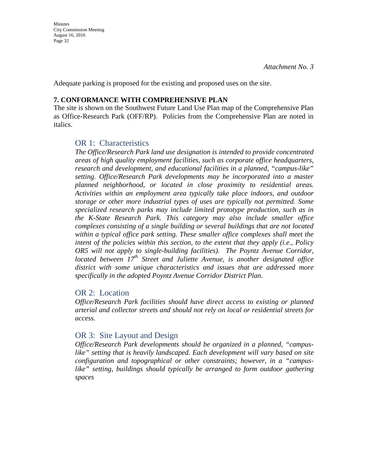Adequate parking is proposed for the existing and proposed uses on the site.

#### **7. CONFORMANCE WITH COMPREHENSIVE PLAN**

The site is shown on the Southwest Future Land Use Plan map of the Comprehensive Plan as Office-Research Park (OFF/RP). Policies from the Comprehensive Plan are noted in italics.

### OR 1: Characteristics

*The Office/Research Park land use designation is intended to provide concentrated areas of high quality employment facilities, such as corporate office headquarters, research and development, and educational facilities in a planned, "campus-like" setting. Office/Research Park developments may be incorporated into a master planned neighborhood, or located in close proximity to residential areas. Activities within an employment area typically take place indoors, and outdoor storage or other more industrial types of uses are typically not permitted. Some specialized research parks may include limited prototype production, such as in the K-State Research Park. This category may also include smaller office complexes consisting of a single building or several buildings that are not located within a typical office park setting. These smaller office complexes shall meet the intent of the policies within this section, to the extent that they apply (i.e., Policy OR5 will not apply to single-building facilities). The Poyntz Avenue Corridor, located between 17th Street and Juliette Avenue, is another designated office district with some unique characteristics and issues that are addressed more specifically in the adopted Poyntz Avenue Corridor District Plan.* 

### OR 2: Location

*Office/Research Park facilities should have direct access to existing or planned arterial and collector streets and should not rely on local or residential streets for access.*

### OR 3: Site Layout and Design

*Office/Research Park developments should be organized in a planned, "campus*like" setting that is heavily landscaped. Each development will vary based on site *configuration and topographical or other constraints; however, in a "campuslike" setting, buildings should typically be arranged to form outdoor gathering spaces*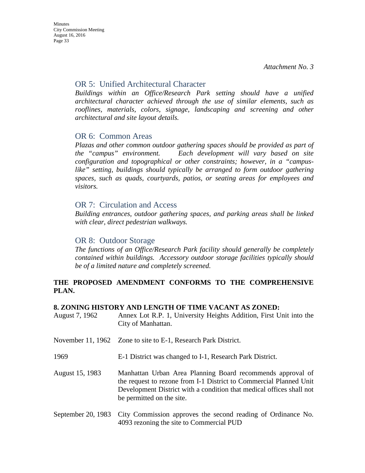### OR 5: Unified Architectural Character

*Buildings within an Office/Research Park setting should have a unified architectural character achieved through the use of similar elements, such as*  rooflines, materials, colors, signage, landscaping and screening and other *architectural and site layout details.* 

### OR 6: Common Areas

*Plazas and other common outdoor gathering spaces should be provided as part of the "campus" environment. Each development will vary based on site configuration and topographical or other constraints; however, in a "campuslike" setting, buildings should typically be arranged to form outdoor gathering spaces, such as quads, courtyards, patios, or seating areas for employees and visitors.* 

### OR 7: Circulation and Access

*Building entrances, outdoor gathering spaces, and parking areas shall be linked with clear, direct pedestrian walkways.* 

### OR 8: Outdoor Storage

*The functions of an Office/Research Park facility should generally be completely contained within buildings. Accessory outdoor storage facilities typically should be of a limited nature and completely screened.* 

### **THE PROPOSED AMENDMENT CONFORMS TO THE COMPREHENSIVE PLAN.**

#### **8. ZONING HISTORY AND LENGTH OF TIME VACANT AS ZONED:**

| August 7, 1962 | Annex Lot R.P. 1, University Heights Addition, First Unit into the |
|----------------|--------------------------------------------------------------------|
|                | City of Manhattan.                                                 |
|                |                                                                    |

- November 11, 1962 Zone to site to E-1, Research Park District.
- 1969 E-1 District was changed to I-1, Research Park District.
- August 15, 1983 Manhattan Urban Area Planning Board recommends approval of the request to rezone from I-1 District to Commercial Planned Unit Development District with a condition that medical offices shall not be permitted on the site.
- September 20, 1983 City Commission approves the second reading of Ordinance No. 4093 rezoning the site to Commercial PUD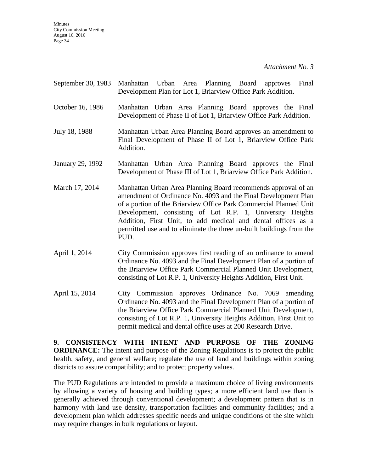- September 30, 1983 Manhattan Urban Area Planning Board approves Final Development Plan for Lot 1, Briarview Office Park Addition.
- October 16, 1986 Manhattan Urban Area Planning Board approves the Final Development of Phase II of Lot 1, Briarview Office Park Addition.
- July 18, 1988 Manhattan Urban Area Planning Board approves an amendment to Final Development of Phase II of Lot 1, Briarview Office Park Addition.
- January 29, 1992 Manhattan Urban Area Planning Board approves the Final Development of Phase III of Lot 1, Briarview Office Park Addition.
- March 17, 2014 Manhattan Urban Area Planning Board recommends approval of an amendment of Ordinance No. 4093 and the Final Development Plan of a portion of the Briarview Office Park Commercial Planned Unit Development, consisting of Lot R.P. 1, University Heights Addition, First Unit, to add medical and dental offices as a permitted use and to eliminate the three un-built buildings from the PUD.
- April 1, 2014 City Commission approves first reading of an ordinance to amend Ordinance No. 4093 and the Final Development Plan of a portion of the Briarview Office Park Commercial Planned Unit Development, consisting of Lot R.P. 1, University Heights Addition, First Unit.
- April 15, 2014 City Commission approves Ordinance No. 7069 amending Ordinance No. 4093 and the Final Development Plan of a portion of the Briarview Office Park Commercial Planned Unit Development, consisting of Lot R.P. 1, University Heights Addition, First Unit to permit medical and dental office uses at 200 Research Drive.

**9. CONSISTENCY WITH INTENT AND PURPOSE OF THE ZONING ORDINANCE:** The intent and purpose of the Zoning Regulations is to protect the public health, safety, and general welfare; regulate the use of land and buildings within zoning districts to assure compatibility; and to protect property values.

The PUD Regulations are intended to provide a maximum choice of living environments by allowing a variety of housing and building types; a more efficient land use than is generally achieved through conventional development; a development pattern that is in harmony with land use density, transportation facilities and community facilities; and a development plan which addresses specific needs and unique conditions of the site which may require changes in bulk regulations or layout.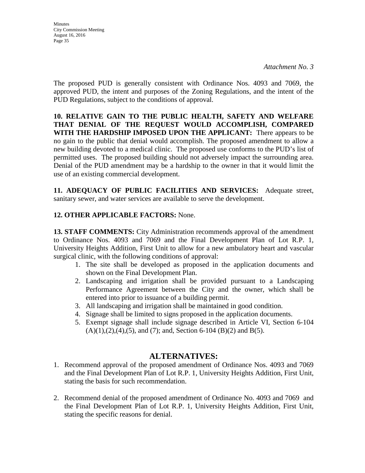**Minutes** City Commission Meeting August 16, 2016 Page 35

The proposed PUD is generally consistent with Ordinance Nos. 4093 and 7069, the approved PUD, the intent and purposes of the Zoning Regulations, and the intent of the PUD Regulations, subject to the conditions of approval.

**10. RELATIVE GAIN TO THE PUBLIC HEALTH, SAFETY AND WELFARE THAT DENIAL OF THE REQUEST WOULD ACCOMPLISH, COMPARED WITH THE HARDSHIP IMPOSED UPON THE APPLICANT:** There appears to be no gain to the public that denial would accomplish. The proposed amendment to allow a new building devoted to a medical clinic. The proposed use conforms to the PUD's list of permitted uses. The proposed building should not adversely impact the surrounding area. Denial of the PUD amendment may be a hardship to the owner in that it would limit the use of an existing commercial development.

**11. ADEQUACY OF PUBLIC FACILITIES AND SERVICES:** Adequate street, sanitary sewer, and water services are available to serve the development.

### **12. OTHER APPLICABLE FACTORS:** None.

**13. STAFF COMMENTS:** City Administration recommends approval of the amendment to Ordinance Nos. 4093 and 7069 and the Final Development Plan of Lot R.P. 1, University Heights Addition, First Unit to allow for a new ambulatory heart and vascular surgical clinic, with the following conditions of approval:

- 1. The site shall be developed as proposed in the application documents and shown on the Final Development Plan.
- 2. Landscaping and irrigation shall be provided pursuant to a Landscaping Performance Agreement between the City and the owner, which shall be entered into prior to issuance of a building permit.
- 3. All landscaping and irrigation shall be maintained in good condition.
- 4. Signage shall be limited to signs proposed in the application documents.
- 5. Exempt signage shall include signage described in Article VI, Section 6-104  $(A)(1),(2),(4),(5)$ , and  $(7)$ ; and, Section 6-104  $(B)(2)$  and  $B(5)$ .

### **ALTERNATIVES:**

- 1. Recommend approval of the proposed amendment of Ordinance Nos. 4093 and 7069 and the Final Development Plan of Lot R.P. 1, University Heights Addition, First Unit, stating the basis for such recommendation.
- 2. Recommend denial of the proposed amendment of Ordinance No. 4093 and 7069 and the Final Development Plan of Lot R.P. 1, University Heights Addition, First Unit, stating the specific reasons for denial.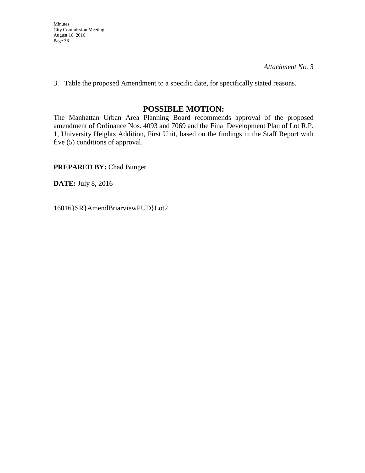*Attachment No. 3* 

3. Table the proposed Amendment to a specific date, for specifically stated reasons.

### **POSSIBLE MOTION:**

The Manhattan Urban Area Planning Board recommends approval of the proposed amendment of Ordinance Nos. 4093 and 7069 and the Final Development Plan of Lot R.P. 1, University Heights Addition, First Unit, based on the findings in the Staff Report with five (5) conditions of approval.

**PREPARED BY:** Chad Bunger

**DATE:** July 8, 2016

16016}SR}AmendBriarviewPUD}Lot2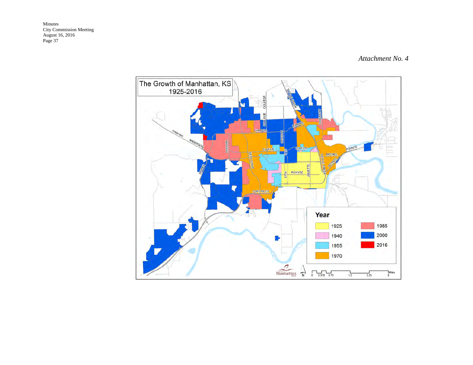#### *Attachment No. 4*